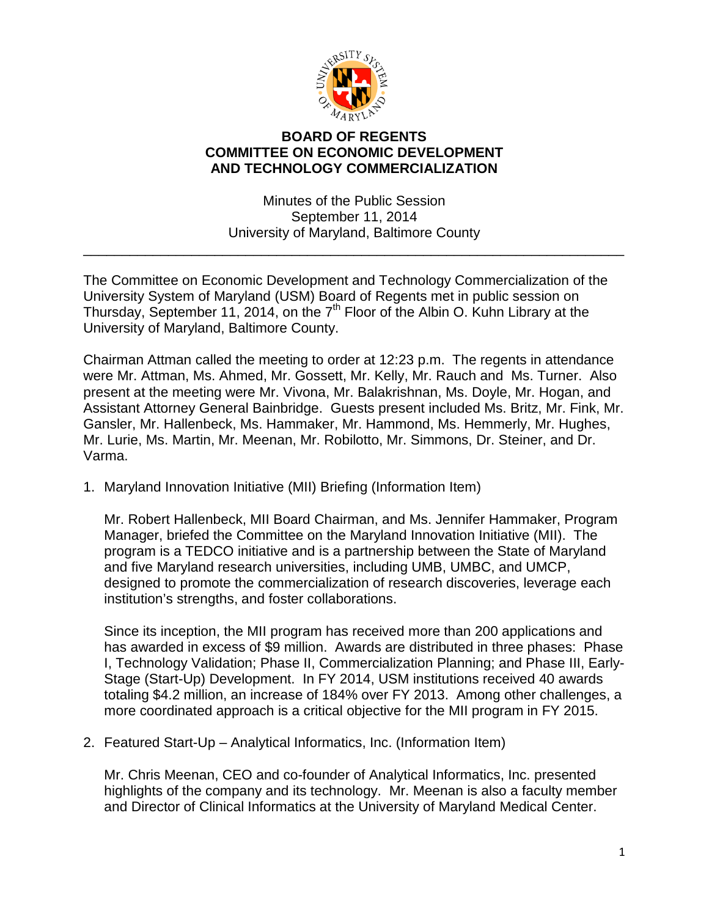

## **BOARD OF REGENTS COMMITTEE ON ECONOMIC DEVELOPMENT AND TECHNOLOGY COMMERCIALIZATION**

Minutes of the Public Session September 11, 2014 University of Maryland, Baltimore County

\_\_\_\_\_\_\_\_\_\_\_\_\_\_\_\_\_\_\_\_\_\_\_\_\_\_\_\_\_\_\_\_\_\_\_\_\_\_\_\_\_\_\_\_\_\_\_\_\_\_\_\_\_\_\_\_\_\_\_\_\_\_\_\_\_\_\_\_\_\_

The Committee on Economic Development and Technology Commercialization of the University System of Maryland (USM) Board of Regents met in public session on Thursday, September 11, 2014, on the  $7<sup>th</sup>$  Floor of the Albin O. Kuhn Library at the University of Maryland, Baltimore County.

Chairman Attman called the meeting to order at 12:23 p.m. The regents in attendance were Mr. Attman, Ms. Ahmed, Mr. Gossett, Mr. Kelly, Mr. Rauch and Ms. Turner. Also present at the meeting were Mr. Vivona, Mr. Balakrishnan, Ms. Doyle, Mr. Hogan, and Assistant Attorney General Bainbridge. Guests present included Ms. Britz, Mr. Fink, Mr. Gansler, Mr. Hallenbeck, Ms. Hammaker, Mr. Hammond, Ms. Hemmerly, Mr. Hughes, Mr. Lurie, Ms. Martin, Mr. Meenan, Mr. Robilotto, Mr. Simmons, Dr. Steiner, and Dr. Varma.

1. Maryland Innovation Initiative (MII) Briefing (Information Item)

Mr. Robert Hallenbeck, MII Board Chairman, and Ms. Jennifer Hammaker, Program Manager, briefed the Committee on the Maryland Innovation Initiative (MII). The program is a TEDCO initiative and is a partnership between the State of Maryland and five Maryland research universities, including UMB, UMBC, and UMCP, designed to promote the commercialization of research discoveries, leverage each institution's strengths, and foster collaborations.

Since its inception, the MII program has received more than 200 applications and has awarded in excess of \$9 million. Awards are distributed in three phases: Phase I, Technology Validation; Phase II, Commercialization Planning; and Phase III, Early-Stage (Start-Up) Development. In FY 2014, USM institutions received 40 awards totaling \$4.2 million, an increase of 184% over FY 2013. Among other challenges, a more coordinated approach is a critical objective for the MII program in FY 2015.

2. Featured Start-Up – Analytical Informatics, Inc. (Information Item)

Mr. Chris Meenan, CEO and co-founder of Analytical Informatics, Inc. presented highlights of the company and its technology. Mr. Meenan is also a faculty member and Director of Clinical Informatics at the University of Maryland Medical Center.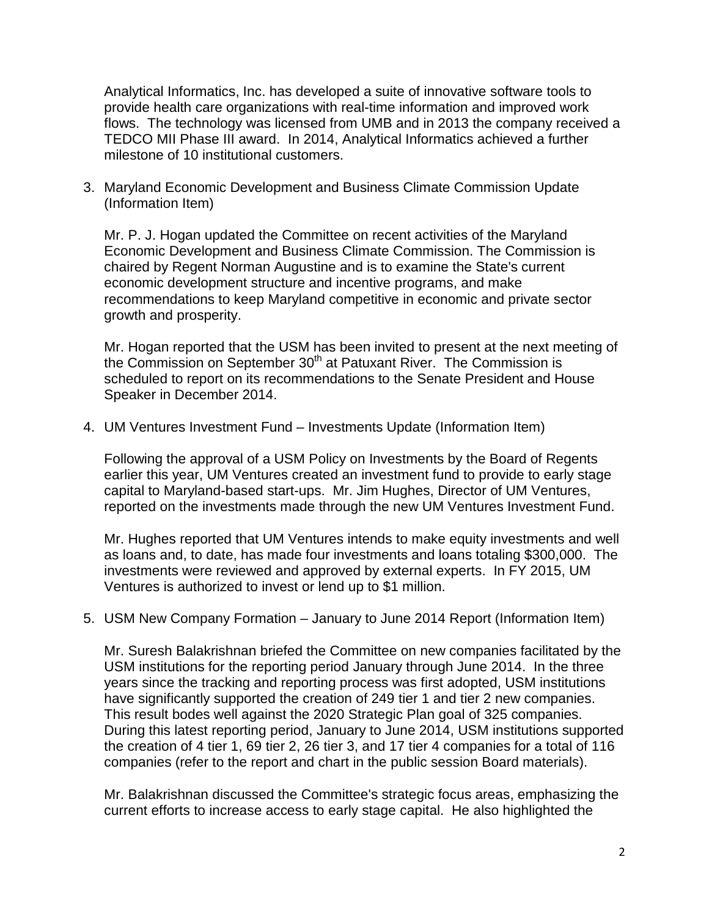Analytical Informatics, Inc. has developed a suite of innovative software tools to provide health care organizations with real-time information and improved work flows. The technology was licensed from UMB and in 2013 the company received a TEDCO MII Phase III award. In 2014, Analytical Informatics achieved a further milestone of 10 institutional customers.

3. Maryland Economic Development and Business Climate Commission Update (Information Item)

Mr. P. J. Hogan updated the Committee on recent activities of the Maryland Economic Development and Business Climate Commission. The Commission is chaired by Regent Norman Augustine and is to examine the State's current economic development structure and incentive programs, and make recommendations to keep Maryland competitive in economic and private sector growth and prosperity.

Mr. Hogan reported that the USM has been invited to present at the next meeting of the Commission on September  $30<sup>th</sup>$  at Patuxant River. The Commission is scheduled to report on its recommendations to the Senate President and House Speaker in December 2014.

4. UM Ventures Investment Fund – Investments Update (Information Item)

Following the approval of a USM Policy on Investments by the Board of Regents earlier this year, UM Ventures created an investment fund to provide to early stage capital to Maryland-based start-ups. Mr. Jim Hughes, Director of UM Ventures, reported on the investments made through the new UM Ventures Investment Fund.

Mr. Hughes reported that UM Ventures intends to make equity investments and well as loans and, to date, has made four investments and loans totaling \$300,000. The investments were reviewed and approved by external experts. In FY 2015, UM Ventures is authorized to invest or lend up to \$1 million.

5. USM New Company Formation – January to June 2014 Report (Information Item)

Mr. Suresh Balakrishnan briefed the Committee on new companies facilitated by the USM institutions for the reporting period January through June 2014. In the three years since the tracking and reporting process was first adopted, USM institutions have significantly supported the creation of 249 tier 1 and tier 2 new companies. This result bodes well against the 2020 Strategic Plan goal of 325 companies. During this latest reporting period, January to June 2014, USM institutions supported the creation of 4 tier 1, 69 tier 2, 26 tier 3, and 17 tier 4 companies for a total of 116 companies (refer to the report and chart in the public session Board materials).

Mr. Balakrishnan discussed the Committee's strategic focus areas, emphasizing the current efforts to increase access to early stage capital. He also highlighted the